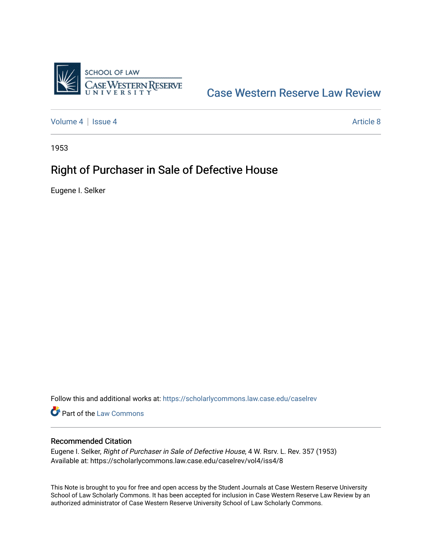

# [Case Western Reserve Law Review](https://scholarlycommons.law.case.edu/caselrev)

[Volume 4](https://scholarlycommons.law.case.edu/caselrev/vol4) | [Issue 4](https://scholarlycommons.law.case.edu/caselrev/vol4/iss4) Article 8

1953

# Right of Purchaser in Sale of Defective House

Eugene I. Selker

Follow this and additional works at: [https://scholarlycommons.law.case.edu/caselrev](https://scholarlycommons.law.case.edu/caselrev?utm_source=scholarlycommons.law.case.edu%2Fcaselrev%2Fvol4%2Fiss4%2F8&utm_medium=PDF&utm_campaign=PDFCoverPages)

Part of the [Law Commons](http://network.bepress.com/hgg/discipline/578?utm_source=scholarlycommons.law.case.edu%2Fcaselrev%2Fvol4%2Fiss4%2F8&utm_medium=PDF&utm_campaign=PDFCoverPages)

## Recommended Citation

Eugene I. Selker, Right of Purchaser in Sale of Defective House, 4 W. Rsrv. L. Rev. 357 (1953) Available at: https://scholarlycommons.law.case.edu/caselrev/vol4/iss4/8

This Note is brought to you for free and open access by the Student Journals at Case Western Reserve University School of Law Scholarly Commons. It has been accepted for inclusion in Case Western Reserve Law Review by an authorized administrator of Case Western Reserve University School of Law Scholarly Commons.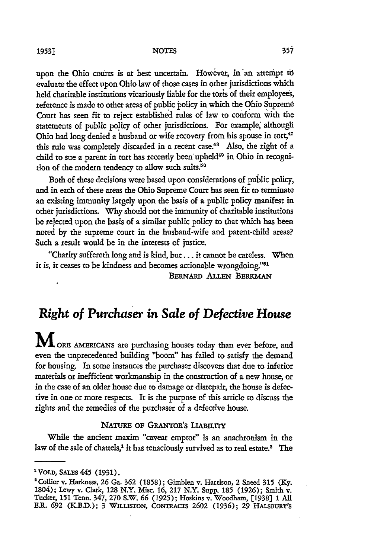#### **NOTES 1953]**

upon the Ohio courts is at best uncertain. However, in an attempt to evaluate the effect upon Ohio law of those cases in other jurisdictions which held charitable institutions vicariously liable for the toris of their employees, reference is made to other areas of public policy in which the Ohio Supreme Court has seen fit to reject established rules of law to conform with the statements of public policy of other jurisdictions. For example, although Ohio had long denied a husband or wife recovery from his spouse in tort,<sup>47</sup> this rule was completely discarded in a recent case.<sup>48</sup> Also, the right of a child to sue a parent in tort has recently been upheld<sup>49</sup> in Ohio in recognition of the modern tendency to allow such suits.<sup>50</sup>

Both of these decisions were based upon considerations of public policy, and in each of these areas the Ohio Supreme Court has seen fit to terminate an existing immunity largely upon the basis of a public policy manifest in other jurisdictions. Why should not the immunity of charitable institutions be rejected upon the basis of a similar public policy to that which has been noted by the supreme court in the husband-wife and parent-child areas? Such a result would be in the interests of justice.

"Charity suffereth long and is kind, but.., it cannot be careless. When it is, it ceases to be kindness and becomes actionable wrongdoing."<sup>51</sup> **BERNARD ALLEN BERKMAN** 

## *Right of* **Purchaser** *in Sale of Defective House*

**M** ORE AMERICANS are purchasing houses today than ever before, and even the unprecedented building "boom" has failed to satisfy the demand for housing. In some instances the purchaser discovers that due to inferior materials or inefficient workmanship in the construction of a new house, or in the case of an older house due to damage or disrepair, the house is defective in one or more respects. It is the purpose of this article to discuss the rights and the remedies of the purchaser of a defective house.

## NATURE OF GRANTOR'S LIABILITY

While the ancient maxim "caveat emptor" is an anachronism in the law of the sale of chattels,<sup>1</sup> it has tenaciously survived as to real estate.<sup>2</sup> The

<sup>&</sup>lt;sup>1</sup> VOLD, SALES 445 (1931).

<sup>&#</sup>x27;Collier **v.** Harkness, **26** Ga. **362** (1858); Gimblen v. Harrison, 2 Sneed **315** (Ky. 1804); Lewy v. Clark, 128 N.Y. Misc. **16,** 217 N.Y. Supp. 185 **(1926);** Smith v. Tucker, 151 Tenn. 347, **270** S.W. **66** (1925); Hoskins v. Woodham, **[1938]** 1 **All** E.R. **692** (K.B.D.); 3 WILLISTON, **CoNTRAcTs 2602** (1936); **29** HAISBURY'S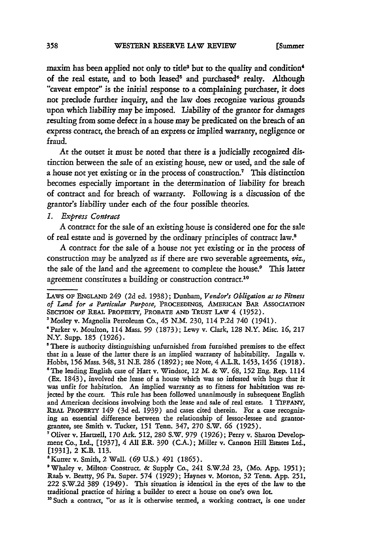maxim has been applied not only to title<sup>3</sup> but to the quality and condition<sup>4</sup> of the real estate, and to both leased<sup>5</sup> and purchased<sup>6</sup> realty. Although "caveat emptor" is the initial response to a complaining purchaser, it does not preclude further inquiry, and the law does recognize various grounds upon which liability may be imposed. Liability of the grantor for damages resulting from some defect in a house may be predicated on the breach of an express contract, the breach of an express or implied warranty, negligence or fraud.

At the outset it must be noted that there is a judicially recognized distinction between the sale of an existing house, new or used, and the sale of a house not yet existing or in the process of construction.7 This distinction becomes especially important in the determination of liability for breach of contract and for breach of warranty. Following is a discussion of the grantor's liability under each of the four possible theories.

## 1. Express Contract

A contract for the sale of an existing house is considered one for the sale of real estate and is governed by the ordinary principles of contract law.8

A contract for the sale of a house not yet existing or in the process of construction may be analyzed as if there are two severable agreements, viz., the sale of the land and the agreement to complete the house.<sup>9</sup> This latter agreement constitutes a building or construction contract.<sup>10</sup>

'Kutter v. Smith, 2 Wall. **(69** U.S.) 491 (1865).

LAWS **OF ENGLAND** 249 (2d ed. 1938); Dunham, *Vendor's Obligation as to Fitness of* Land *for a Particular Purpose,* PROCEEDINGS, **AMEmCAN BAR** AssociATIoN **SECTION OF REAL PROPERTY, PROBATE AND** TRusT LAW 4 **(1952).**

<sup>&#</sup>x27;Mosley v. Magnolia Petroleum Co., 45 N.M. 230, 114 P.2d 740 (1941).

<sup>&#</sup>x27;Parker v. Moulton, 114 Mass. 99 (1873); Lewy v. Clark, 128 N.Y. Misc. 16, 217 N.Y. Supp. 185 (1926).

<sup>&</sup>lt;sup>5</sup> There is authority distinguishing unfurnished from furnished premises to the effect that in a lease of the latter there is an implied warranty of habitability. Ingalls v. Hobbs, **156** Mass. 348, 31 N.E. **286** (1892); see Note, 4 A.L.R. 1453, 1456 (1918). \*The leading English case of Hart v. Windsor, 12 M. **&** W. **68, 152** Eng. Rep. 1114 (Ex. 1843), involved the lease of a house which was so infested with bugs that it was unfit for habitation. An implied warranty as to fitness for habitation was re jected by the court. This rule has been followed unanimously in subsequent English and American decisions involving both the lease and sale of real estate. 1 TIFFANY, REAL PROPERTY 149 (3d ed. 1939) and cases cited therein. For a case recognizing an essential difference between the relationship of lessor-lessee and grantorgrantee, see Smith v. Tucker, **151** Tenn. 347, **270** S.W. **66** (1925).

<sup>&#</sup>x27;Oliver v. Hartzell, **170** Ark. 512, **280** S.W. 979 **(1926);** Perry v. Sharon Development Co., Ltd., [1937], 4 All E.R. **390** (C.A.); Miller v. Cannon Hill Estates Ltd., [1931], 2 K.B. 113.

<sup>&#</sup>x27;Whaley v. Milton- Construct. **&** Supply Co., 241 S.W.2d 23, (Mo. App. 1951); Raab v. Beatty, **96** Pa. Super. 574 (1929); Haynes v. Morton, 32 Tenn. App. **251,** 222 S.W.2d **389** (1949). This situation is identical in the eyes of the law to the traditional practice of hiring a builder to erect a house on one's own lot.

<sup>&</sup>lt;sup>10</sup> Such a contract, "or as it is otherwise termed, a working contract, is one under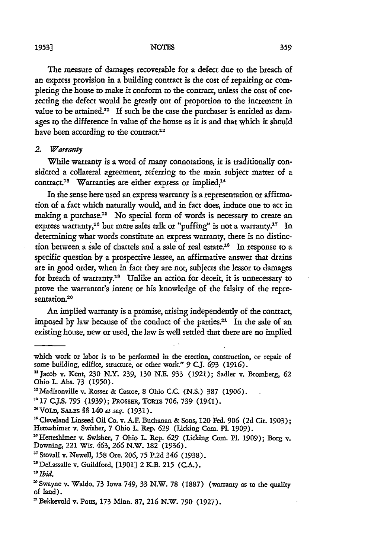The measure of damages recoverable for a defect due to the breach of an express provision in a building contract is the cost of repairing or completing the house to make it conform to the contract, unless the cost of correcting the defect would be greatly out of proportion to the increment in value to be attained.<sup>11</sup> If such be the case the purchaser is entitled as damages to the difference in value of the house as it is and that which it should have been according to the contract.<sup>12</sup>

#### 2. *Warranty*

While warranty is a word of many connotations, it is traditionally considered a collateral agreement, referring to the main subject matter of a contract.<sup>13</sup> Warranties are either express or implied.<sup>14</sup>

In the sense here used an express warranty is a representation or affirma*tion* of a fact which naturally would, and in fact does, induce one to act in making a purchase.<sup>15</sup> No special form of words is necessary to create an express warranty,<sup>16</sup> but mere sales talk or "puffing" is not a warranty.<sup>17</sup> In determining what words constitute an express warranty, there is no distinction between a sale of chattels and a sale of real estate.<sup>18</sup> In response to a specific question by a prospective lessee, an affirmative answer that drains are in good order, when in fact they are not, subjects the lessor to damages for breach of warranty.<sup>10</sup> Unlike an action for deceit, it is unnecessary to prove the warrantor's intent or his knowledge of the falsity of the representation.<sup>20</sup>

An implied warranty is a promise, arising independently of the contract, imposed by law because of the conduct of the parties.<sup>21</sup> In the sale of an existing house, new or used, the law is well settled that there are no implied

' <sup>T</sup> Stovall v. Newell, **158** Ore. **206, 75** P.2d 346 (1938).

"DeLassalle v. Guildford, **[1901]** 2 K.B. 215 (CA.). **2**

which work or labor is to be performed in the erection, construction, or repair of some building, edifice, structure, or other work." **9** C.J. **693** (1916).

*<sup>U</sup>*Jacob v. Kent, **230** N.Y. 239, **130** NE. 933 (1921); Sadler v. Bromberg, **62** Ohio L Abs. 73 (1950). "IMadisonville v. Rosser & Castoe, 8 Ohio C.C. (N.S.) 387 **(1906).**

**<sup>17</sup>** CJ.S. **795 (1939);** PRossEm, ToRTs **706, 739** (1941).

<sup>&</sup>quot;VoLD, SALS **§§** 140 *et seq.* (1931).

*a'* Cleveland Linseed Oil **Co.** v. A.F. Buchanan & Sons, 120 Fed. **906** (2d Cir. 1903); Hetteshimer v. Swisher, 7 Ohio **L.** Rep. **629** (Licking Com. Pl. 1909).

<sup>&#</sup>x27;Hetteshimer v. Swisher, 7 Ohio L Rep. **629** (Licking Com. P1. **1909);** Borg v. Downing, 221 Wis. 463, **266** N.W. 182 (1936).

*<sup>0</sup>Ibid.*

**<sup>&#</sup>x27;** Swayne v. Waldo, 73 Iowa 749, 33 N.W. 78 (1887) (warranty as to the quality of land). **'** Bekkevold v. Potts, 173 Minn. **87, 216** N.W. **790** (1927).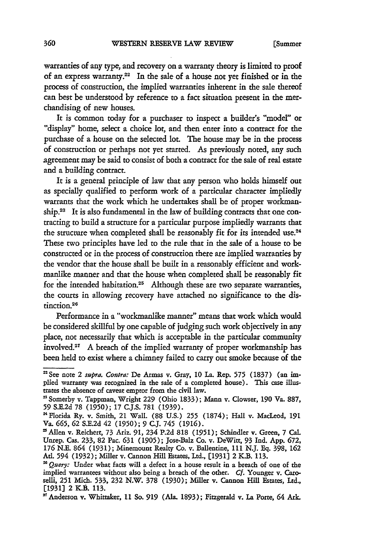warranties of any type, and recovery on a warranty theory is limited to proof of an express warranty.22 In the sale of a house not yet finished or in the process of construction, the implied warranties inherent in the sale thereof can best be understood by reference to a fact situation present in the merchandising of new houses.

It is common today for a purchaser to inspect a builder's "model" or "display" home, select a choice lot, and then enter into a contract for the purchase of a house on the selected lot. The house may be in the process of construction or perhaps not yet started. As previously noted, any such agreement may be said to consist of both a contract for the sale of real estate and a building contract.

It is a general principle of law that any person who holds himself out as specially qualified to perform work of a particular character impliedly warrants that the work which he undertakes shall be of proper workmanship.<sup>23</sup> It is also fundamental in the law of building contracts that one contracting to build a structure for a particular purpose impliedly warrants that the structure when completed shall be reasonably fit for its intended use.<sup>24</sup> These two principles have led to the rule that in the sale of a house to be constructed or in the process of construction there are implied warranties by the vendor that the house shall be built in a reasonably efficient and workmanlike manner and that the house when completed shall be reasonably fit for the intended habitation.<sup>25</sup> Although these are two separate warranties, the courts in allowing recovery have attached no significance to the distinction.<sup>2</sup> 6

Performance in a "workmanlike manner" means that work which would be considered skillful by one capable of judging such work objectively in any place, not necessarily that which is acceptable in the particular community involved.<sup>27</sup> A breach of the implied warranty of proper workmanship has been held to exist where a chimney failed to carry out smoke because of the

<sup>&#</sup>x27;See note 2 supra. Contra: De Armas v. Gray, 10 La. Rep. **575** (1837) (an implied warranty was recognized in the sale of a completed house). This case illustrates the absence of caveat emptor from the civil law.

**<sup>&#</sup>x27;** Somerby v. Tappman, Wright 229 (Ohio 1833); Mann v. Clowser, **190** Va. 887, **59** S.E.2d 78 (1950); 17 CJ.S. 781 (1939).

<sup>&#</sup>x27;Florida Ry. v. Smith, 21 Wall. (88 U.S.) **255** (1874); Hall v. MacLead, **191** Va. **665, 62** S.E.2d 42 (1950); 9 C.J. 745 (1916).

<sup>&#</sup>x27;Allen v. Reichert, 73 Ariz. **91,** 234 P.2d 818 (1951); Schindler v. Green, 7 Cal. Unrep. Cas. 233, 82 Pac. **631** (1905); Jose-Balz Co. v. DeWitt, **93** Ind. App. 672, **176** N.E. 864 (1931); Minemount Realty Co. v. Ballentine, 111 N.J. **Eq.** 398, **162** At. 594 (1932); Miller v. Cannon Hill Estates, Ltd., [1931] 2 K.B. 113.

*<sup>=&#</sup>x27; Query:* Under what facts will a defect in a house result in a breach of one of the implied warrantees without also being a breach of the other. Cf. Younger v. Caroselli, 251 Mich. 533, 232 N.W. 378 (1930); Miller v. Cannon Hill Estates, Ltd., **[1931]** 2 K.B. 113.

**<sup>&#</sup>x27;** Anderson v. Whittaker, 11 So. **919** (Ala. 1893); Fitzgerald v. La Porte, 64 Ark.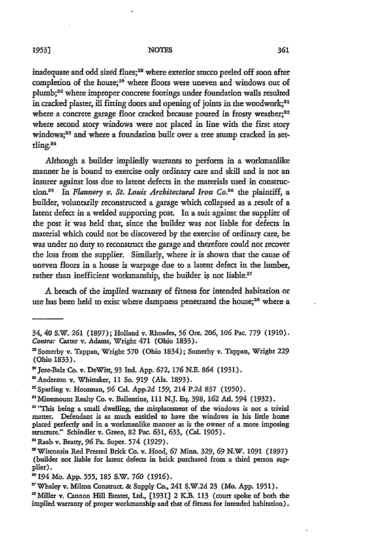#### **NOTES**

inadequate and odd sized flues;<sup>28</sup> where exterior stucco peeled off soon after completion of the house;<sup>29</sup> where floors were uneven and windows out of plumb;<sup>30</sup> where improper concrete footings under foundation walls resulted in cracked plaster, ill fitting doors and opening of joints in the woodwork;<sup>31</sup> where a concrete garage floor cracked because poured in frosty weather;<sup>32</sup> where second story windows were not placed in line with the first story windows;<sup>33</sup> and where a foundation built over a tree stump cracked in settling.34

Although a builder impliedly warrants to perform in a workmanlike manner he is bound to exercise only ordinary care and skill and is not an insurer against loss due to latent defects in the materials used in construction." In *Flannery* **v.** *St. Louis Architectural Iron Co. <sup>6</sup>*the plaintiff, a builder, voluntarily reconstructed a garage which collapsed as a result of a latent defect in a welded supporting post. In a suit against the supplier of the post it was held that, since the builder was not liable for defects in material which could not be discovered by the exercise of ordinary care, he was under no duty to reconstruct the garage and therefore could not recover the loss from the supplier. Similarly, where it is shown that the cause of uneven floors in a house is warpage due to a latent defect in the lumber, rather than inefficient workmanship, the builder is not liable.<sup>37</sup>

A breach of the implied warranty of fitness for intended habitation or use has been held to exist where dampness penetrated the house;<sup>38</sup> where a

"Raab v. *Beatty,* **96** Pa. Super. 574 **(1929).**

<sup>34, 40</sup> S.W. **261** (1897); Holland v. Rhoades, **56** Ore. **206, 106** Pac. 779 (1910). *Contra:* Carter v. Adams, Wright 471 (Ohio 1833).

**<sup>&#</sup>x27;** Somerby v. Tappan, Wright 570 (Ohio 1834); Somerby v. Tappan, Wright 229 (Ohio 1833).

**<sup>&#</sup>x27;** Jose-Balz Co. v. DeWitt, 93 Ind. App. 672, **176 N.E.** 864 (1931).

<sup>&#</sup>x27;Anderson v. Whittaker, **11** So. **919 (Ala.** 1893).

<sup>&</sup>quot; Sparling v. Housman, **96** Cal. App.2d 159, 214 P.2d 837 (1950).

<sup>&#</sup>x27;Minemount Realty Co. v. Ballentine, **111 N.J.** Eq. 398, **162** At. 594 (1932).

<sup>&</sup>lt;sup>33</sup> "This being a small dwelling, the misplacement of the windows is not a trivial matter. Defendant is as much entitled to have the windows in his little home placed perfectly and in a workmanlike manner as is the owner of a more imposing structure." Schindler v. Green, 82 Pac. **631,** 633, (Cal. 1905).

<sup>&#</sup>x27;Wisconsin Red Pressed Brick Co. v. Hood, **67** Minn. 329, **69** N.W. **1091** (1897) (builder not liable for latent defects in brick purchased from a third person supplier).

S194 Mo. App. 555, **185** S.W. **760 (1916).**

<sup>&#</sup>x27;Whaley v. Milton Construct. & Supply Co., 241 S.W.2d 23 (Mo. App. 1951).

<sup>&#</sup>x27;Miller v. Cannon Hill Estates, Ltd., **[1931]** 2 KB. **113** (court spoke of both the implied warranty of proper workmanship and that of fitness for intended habitation).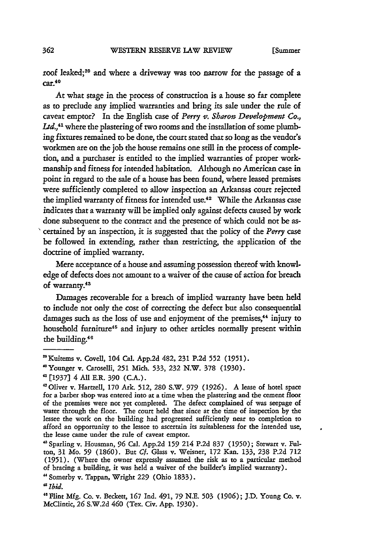roof leaked;39 and where a driveway was too narrow for the passage of a  $car<sup>40</sup>$ 

At what stage in the process of construction is a house so far complete as to preclude any implied warranties and bring its sale under the rule of caveat emptor? In the English case of *Perry v. Sharon Development Co.,* Ltd.,<sup>41</sup> where the plastering of two rooms and the installation of some plumbing fixtures remained to be done, the court stated that so long as the vendor's workmen are on the job the house remains one still in the process of completion, and a purchaser is entitled to the implied warranties of proper workmanship and fitness for intended habitation. Although no American case in point in regard to the sale of a house has been found, where leased premises were sufficiently completed to allow inspection an Arkansas court rejected the implied warranty of fitness for intended use.<sup>42</sup> While the Arkansas case indicates that a warranty will be implied only against defects caused by work done subsequent to the contract and the presence of which could not be ascertained by an inspection, it is suggested that the policy of the *Perry* case be followed in extending, rather than restricting, the application of the doctrine of implied warranty.

Mere acceptance of a house and assuming possession thereof with knowledge of defects does not amount to a waiver of the cause of action for breach of warranty.43

Damages recoverable for a breach of implied warranty have been held to include not only the cost of correcting the defect but also consequential damages such as the loss of use and enjoyment of the premises,<sup>44</sup> injury to household furniture<sup>45</sup> and injury to other articles normally present within the building.<sup>46</sup>

<sup>&</sup>quot;Kuitems v. Covell, 104 Cal. App.2d 482, 231 P.2d **552** (1951).

<sup>&</sup>lt;sup>4</sup> Younger v. Caroselli, 251 Mich. 533, 232 N.W. 378 (1930).<br><sup>4</sup> [1937] 4 All E.R. 390 (C.A.).

<sup>&#</sup>x27;Oliver v. Hartzell, 170 Ark. 512, 280 S.W. 979 (1926). A lease of hotel space for a barber shop was entered into at a time when the plastering and the cement floor of the premises were not yet completed. The defect complained of was seepage of water through the floor. The court held that since at the time of inspection by the lessee the work on the building had progressed sufficiently near to completion to afford an opportunity to the lessee to ascertain its suitableness for the intended use, the lease came under the rule of caveat emptor.

**<sup>&</sup>quot;** Sparling v. Housman, **96** Cal. App.2d **159** 214 P.2d 837 **(1950);** Stewart v. Fulton, 31 Mo. **59** (1860). But Cf. Glass v. Weisner, 172 Kan. 133, 238 P.2d 712 (1951). (Where the owner expressly assumed the risk as to a particular method of bracing a building, it was held a waiver of the builder's implied warranty).

Somerby v. Tappan, Wright **229** (Ohio 1833).

*<sup>&</sup>quot;Ibid.*

<sup>&</sup>quot;Flint Mfg. Co. v. Beckett, **167** Ind. 491, **79** N.E. **503** (1906); J.D. Young Co. v. McClintic, **26** S.W.2d 460 (Tex. Civ. App. 1930).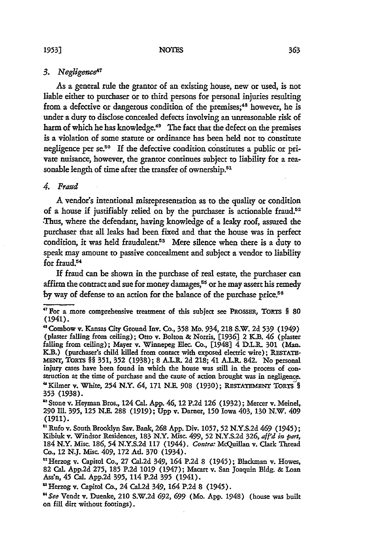## 3. Negligence<sup>4</sup>

As a general rule the grantor of an existing house, new or used, is not liable either to purchaser or to third persons for personal injuries resulting from a defective or dangerous condition of the premises; 48 however, he is under **a** duty to disclose concealed defects involving an unreasonable risk of harm of which he has knowledge.<sup>49</sup> The fact that the defect on the premises is a violation of some statute or ordinance has been held not to constitute negligence per se.<sup>50</sup> If the defective condition constitutes a public or private nuisance, however, the grantor continues subject to liability for a reasonable length of time after the transfer of ownership.<sup>51</sup>

## 4. *Fraud*

*A* vendor's intentional misrepresentation as to the quality or condition of a house if justifiably relied on by the purchaser is actionable fraud.<sup>52</sup> •Thus, where the defendant, having knowledge of a leaky roof, assured the purchaser that all leaks had been fixed and that the house was in perfect condition, it was held fraudulent.<sup>53</sup> Mere silence when there is a duty to speak may amount to passive concealment and subject a vendor to liability for fraud.<sup>54</sup>

If fraud can be shown in the purchase of real estate, the purchaser can affirm the contract and sue for money damages,<sup>55</sup> or he may assert his remedy by way of defense to an action for the balance of the purchase price.<sup>56</sup>

<sup>&</sup>lt;sup>47</sup> For a more comprehensive treatment of this subject see PROSSER, TORTS § 80 (1941).

**<sup>&</sup>quot;** Combow v. Kansas City Ground Inv. Co., 358 Mo. 934, 218 S.W. **2d 539** (1949) (plaster falling from ceiling); Otto v. Bolton **&** Norris, **[1936]** 2 K.B. 46 (plaster falling from ceiling); Mayer v. Winnepeg Elec. Co., [1948] 4 D.L.R. **301** (Man. K.B.) (purchaser's child killed from contact with exposed electric wire); RESTAT **MENT, TORTS** *§§* 351, 352 (1938); 8 A.L.R. **2d** 218; 41 **AJ.IL** 842. No personal injury cases have been found in which the house was still in the process of con- struction at the time of purchase and the cause of action brought was in negligence. "Kilmer v. White, 254 N.Y. 64, 171 N.E. **908 (1930); RESTATEMENT** TORTS *§* 353 (1938).

**<sup>&#</sup>x27;** Stone v. Heyman Bros., 124 Cal. **App.** 46, 12 P.2d 126 (1932); Mercer v. Meinel, **290** IIL. 395, 125 N.E. 288 **(1919); Upp** v. Darner, **150** Iowa 403, **130** N.W. 409 **(1911).**

<sup>&</sup>quot; Rufo v. South Brooklyn Say. Bank, **268 App.** Div. **1057, 52 N.Y.S.2d** 469 (1945); Kibiuk v. Windsor Residences, 183 N.Y. Misc. 499, **52** N.Y.S.2d 326, aff'd *in pfart,* 184 N.Y. Misc. 186, 54 N.Y.S.2d 117 (1944). *Contra:* McQuillan v. Clark Thread Co., 12 **N.J.** Misc. 409, 172 At. **370** (1934).

<sup>&</sup>quot;Herzog v. Capitol Co., 27 Cal.2d 349, 164 **P.2d** 8 (1945); Blackman v. Howes, 82 Cal. **App.2d** 275, **185 P.2d 1019** (1947); Macart v. San Joaquin Bldg. **&** Loan Ass'n, 45 Cal. **App.2d 395,** 114 P.2d **395** (1941).

**<sup>&</sup>quot;** Herzog v. Capitol Co., 24 Cal.2d 349, 164 P.2d 8 (1945).

*<sup>&</sup>quot;See* Vendt v. Duenke, 210 S.W.2d **692, 699** (Mo. **App.** 1948) (house was built on fill dirt without footings).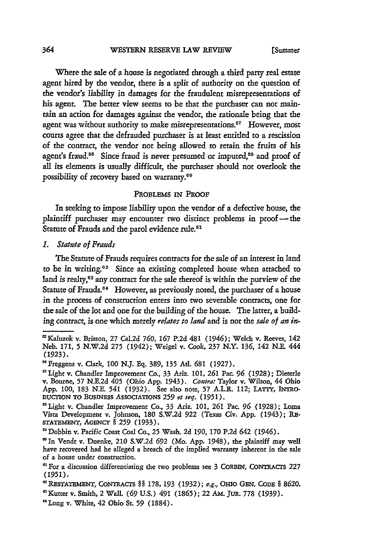Where the sale of a house is negotiated through a third party real estate agent hired by the vendor, there is a split of authority on the question of the vendor's liability in damages for the fraudulent misrepresentations of his agent. The better view seems to be that the purchaser can not maintain an action for damages against the vendor, the rationale being that the agent was without authority to make misrepresentations.<sup>57</sup> However, most courts agree that the defrauded purchaser is at least entitled to a rescission of the contract, the vendor not being allowed to retain the fruits of his agent's fraud.<sup>58</sup> Since fraud is never presumed or imputed,<sup>59</sup> and proof of all its elements is usually difficult, the purchaser should not overlook the possibility of recovery based on warranty.<sup>60</sup>

## PROBLEMS **IN** PROOF

In seeking to impose liability upon the vendor of a defective house, the plaintiff purchaser may encounter two distinct problems in proof—the Statute of Frauds and the parol evidence rule.<sup>61</sup>

*1. Statute of Frauds*

The Statute of Frauds requires contracts for the sale of an interest in land to be in writing.<sup>62</sup> Since an existing completed house when attached to land is realty,<sup>63</sup> any contract for the sale thereof is within the purview of the Statute of Frauds.<sup>64</sup> However, as previously noted, the purchaser of a house in the process of construction enters into two severable contracts, one for the sale of the lot and one for the building of the house. The latter, a building contract, is one which merely *relates to land* and is not the *sale of an in*-

Kaluzok v. Brisson, 27 Cal.2d **760, 167** P.2d 481 (1946); Welch v. Reeves, **142** Neb. 171, **5** N.W.2d **275** (1942); Weigel v. Cook, 237 N.Y. 136, 142 N.E. 444 (1923).

**<sup>&</sup>quot;** Freggens v. Clark, **100** N.J. Eq. 389, **135** Ad. **681** (1927).

<sup>&#</sup>x27;Light v. Chandler Improvement Co., 33 Ariz. **101, 261** Pac. **96** (1928); Dieterle v. Bourne, **57** N.E.2d 405 (Ohio App. 1943). *Contra:* Taylor v. Wilson, 44 Ohio App. **100,** 183 N.E. 541 (1932). See also note, **57** A.L.R. 112; LATrY, INTRO-DUCTION TO BUSINESS ASSOCIATIONS 259 et seq. (1951).

<sup>&#</sup>x27;Light v. Chandler Improvement Co., 33 Ariz. **101, 261** Pac. **96** (1928); Loma Vista Development v. Johnson, 180 S.W.2d **922** (Texas Civ. App. (1943); RE-STATEMENT, **AGENcY** § **259 (1933).**

Dobbin v. Pacific Coast Coal Co., **25** Wash. 2d 190, **170** P.2d 642 (1946).

<sup>&#</sup>x27;In Vendt v. Duenke, 210 S.W.2d **692** (Mo. App. 1948), the plaintiff may well have recovered had he alleged a breach of the implied warranty inherent in the sale of a house under construction.

For a discussion differentiating the two problems see 3 CORBIN, CONTRACTs 227 **(1951).**

**<sup>&</sup>quot;** RESTATEMENT, CONTRACTS §§ **178, 193 (1932);** *e.g.,* **OHIo GEN. CODE** § **8620.** "Kutter v. Smith, 2 Wall. *(69* U.S.) **491** (1865); 22 **AM. JtR.** 778 **(1939).**

<sup>&</sup>quot;Long v. White, **42** Ohio St. 59 **(1884).**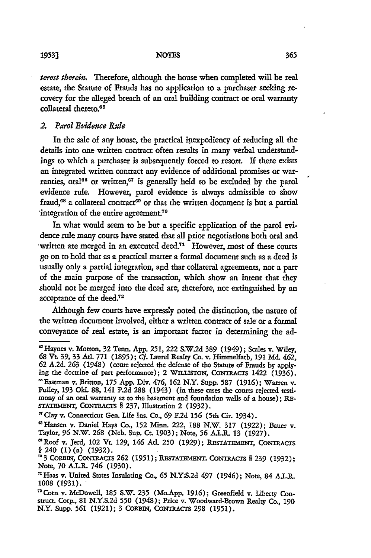*terest therein.* Therefore, although the house when completed will be real estate, the Statute of Frauds has no application to a purchaser seeking recovery for the alleged breach of an oral building contract or oral warranty collateral thereto.<sup>65</sup>

## *2. Parol Evidence Rule*

In the sale of any house, the practical inexpediency of reducing all the details into one written contract often results in many verbal understandings to which a purchaser is subsequently forced to resort. **If** there exists an integrated written contract any evidence of additional promises or warranties, oral<sup>66</sup> or written,<sup>67</sup> is generally held to be excluded by the parol evidence rule. However, parol evidence is always admissible to show fraud,<sup>68</sup> a collateral contract<sup>69</sup> or that the written document is but a partial integration of the entire agreement.<sup>70</sup>

In what would seem to be but a specific application of the parol evidence rule many courts have stated that all prior negotiations both oral and written are merged in an executed deed.<sup>71</sup> However, most of these courts go on to hold that as a practical matter a formal document such as a deed is usually only a partial integration, and that collateral agreements, not a part of the main purpose of the transaction, which show an intent that they should not be merged into the deed are, therefore, not extinguished by an acceptance of the deed.<sup>72</sup>

Although few courts have expressly noted the distinction, the nature of the written document involved, either a written contract of sale or a formal conveyance of real estate, is an important factor in determining the ad-

<sup>&#</sup>x27;Haynes v. Morton, 32 Tenn. App. **251,** 222 S.W.2d **389** (1949); Scales v. Wiley, **<sup>68</sup>**Vt. **39,** 33 **At.** 771 (1895); **Cf.** Laurel Realty Co. v. Himmelfarb, **191 Md.** 462, **62** A.2d. **263** (1948) (court rejected the defense of the Statute of Frauds by applying the doctrine of part performance); 2 WILLISTON, CONTRACTS 1422 (1936). 'Eastman v. Britton, 175 App. Div. 476, **162** N.Y. Supp. **587 (1916);** Warren v. Pulley, **193** Ol. 88, 141 P.2d 288 (1943) (in these cases the courts rejected testimony of an oral warranty as to the basement and foundation walls of a house); RE-STATEMENT, CONTRACTS § 237, Illustration 2 (1932).

<sup>&</sup>quot;Clay v. Connecticut Gen. Life Ins. Co., **69 F.2d 156** (5th Cir. 1934).

<sup>&#</sup>x27; 3 Hansen v. Daniel Hays Co., **152** Minn. 222, 188 N.W. 317 (1922); Bauer v. Taylor, *96* N.W. 268 (Neb. Sup. Ct. **1903);** Note, **56** A.L.R. 13 (1927).

<sup>&#</sup>x27;Roof v. Jerd, 102 Vt. 129, 146 **Ad. 250** (1929); **RFSTATEMENT,** CONTRACTS **§** 240 (1)(a) (1932).

**<sup>703</sup> CORBiN,** CoNTRAcTs **262 (1951); RESTATEMENT,** CONTRACTS § **239 (1932);** Note, **70** A.L.R. 746 (1930).

<sup>&#</sup>x27;Haas v. United States Insulating Co., **65** N.Y.S.2d 497 (1946); Note, 84 **A.LR. 1008** (1931).

<sup>&</sup>quot; <sup>2</sup> Corn v. McDowell, 185 S.W. 235 (Mo.App. **1916);** Greenfield v. Liberty Construct. Corp., 81 N.Y.S.2d **550** (1948); Price v. Woodward-Brown Realty Co., **190** N.Y. Supp. **561** (1921); 3 CORBiN, CONTRACTS **298** (1951).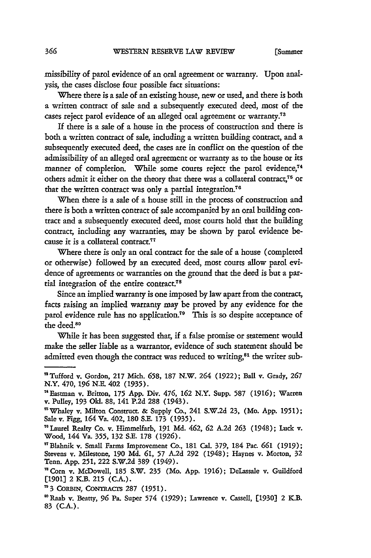missibility of parol evidence of an oral agreement or warranty. Upon analysis, the cases disclose four possible fact situations:

Where there is a sale of an existing house, new or used, and there is both a written contract of sale and a subsequently executed deed, most of the cases reject parol evidence of an alleged oral agreement or warranty.<sup>73</sup>

**If** there is a sale of a house in the process of construction and there is both a written contract of sale, including a written building contract, and a subsequently executed deed, the cases are in conflict on the question of the admissibility of an alleged oral agreement or warranty as to the house or its manner of completion. While some courts reject the parol evidence,<sup>74</sup> others admit it either on the theory that there was a collateral contract,<sup>75</sup> or that the written contract was only a partial integration.<sup>76</sup>

When there is a sale of a house still in the process of construction and there is both a written contract of sale accompanied by an oral building contract and a subsequently executed deed, most courts hold that the building contract, including any warranties, may be shown by parol evidence because it is a collateral contract.<sup>77</sup>

Where there is only an oral contract for the sale of a house (completed or otherwise) followed by an executed deed, most courts allow parol evidence of agreements or warranties on the ground that the deed is but a partial integration of the entire contract.<sup>78</sup>

Since an implied warranty is one imposed by law apart from the contract, facts raising an implied warranty may be proved by any evidence for the parol evidence rule has no application.<sup>79</sup> This is so despite acceptance of the deed.<sup>80</sup>

While it has been suggested that, if a false promise or statement would make the seller liable as a warrantor, evidence of such statement should be admitted even though the contract was reduced to writing,<sup>81</sup> the writer sub-

<sup>&#</sup>x27; Tufford v. Gordon, **217** Mich. **658, 187** N.W. 264 (1922); Ball v. Grady, **<sup>267</sup>** N.Y. 470, 196 N.E. 402 (1935).

<sup>&#</sup>x27;Eastman v. Britton, **175** App. Div. 476, **162** N.Y. Supp. **587 (1916);** Warren v. Pulley, **193 Old.** 88, 141 P.2d 288 (1943).

<sup>&</sup>lt;sup>15</sup> Whaley v. Milton Construct. & Supply Co., 241 S.W.2d 23, (Mo. App. 1951); Sale v. Figg, 164 Va. 402, 180 S.E. 173 (1935).

Laurel Realty Co. v. Himmelfarb, **191 Md.** 462, **62** A.2d **263** (1948); Luck v. Wood, 144 Va. 355, **132** S.E. **178** (1926).

<sup>&#</sup>x27;\*Blahnik v. Small Farms Improvement Co., **181** Cal. 379, 184 Pac. *661* (1919); Stevens v. Milestone, **190 Md. 61, 57** A.2d 292 (1948); Haynes v. Morton, 32 Tenn. App. **251,** 222 S.W.2d 389 (1949).

<sup>&</sup>lt;sup>78</sup> Corn v. McDowell, 185 S.W. 235 (Mo. App. 1916); DeLassale v. Guildford [1901] 2 K.B. 215 (C.A.).

<sup>&</sup>quot;3 CO RBIN, CoNTRAcrs **287 (1951).**

<sup>&#</sup>x27;Raab v. Beatty, **96** Pa. Super 574 (1929); Lawrence v. Cassell, **[1930]** 2 K.B. 83 (CA.).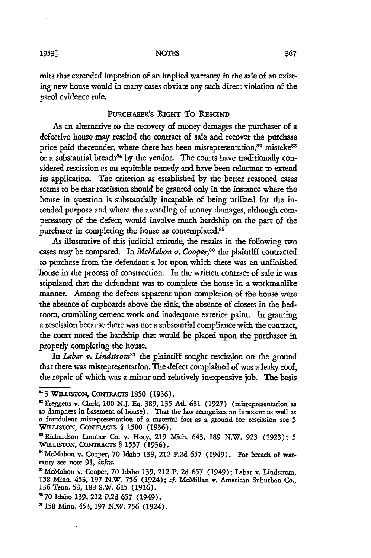mits that extended imposition of an implied warranty in the sale of an existing new house would in many cases obviate any such direct violation of the parol evidence rule.

## PURCHASER'S RIGHT TO RESCIND

As an alternative to the recovery of money damages the purchaser of a defective house may rescind the contract of sale and recover the purchase price paid thereunder, where there has been misrepresentation,<sup>82</sup> mistake<sup>83</sup> or a substantial breach<sup>84</sup> by the vendor. The courts have traditionally considered rescission as an equitable remedy and have been reluctant to extend its application. The criterion as established by the better reasoned cases seems to be that rescission should be granted only in the instance where the house in question is substantially incapable of being utilized for the intended purpose and where the awarding of money damages, although compensatory of the defect, would involve much hardship on the part of the purchaser in completing the house as contemplated.<sup>85</sup>

As illustrative of this judicial attitude, the results in the following two cases may be compared. In *McMahon v. Cooper*,<sup>86</sup> the plaintiff contracted to purchase from the defendant a lot upon which there was an unfinished 'house in the process of construction. In the written contract of sale it was stipulated that the defendant was to complete the house in a workmanlike manner. Among the defects apparent upon completion of the house were the absence of cupboards above the sink, the absence of closets in the bedroom, crumbling cement work and inadequate exterior paint. In granting a rescission because there was not a substantial compliance with the contract, the court noted the hardship that would be placed upon the purchaser in properly completing the house.

In *Labar* v. *Lindstrom87* the plaintiff sought rescission on the ground that there was misrepresentation. The defect complained of was a leaky roof, the repair of which was a minor and relatively inexpensive job. The basis

**<sup>83</sup>** WILISTON, CONTRAcrs **1850** (1936).

<sup>&</sup>quot;Freggens v. Clark, **100 N.J.** Eq. 389, 135 At. **681** (1927) (misrepresentation as to dampness in basement of house). That the law recognizes an innocent as well as a fraudulent misrepresentation of a material fact as a ground for rescission see **5** WILLISTON, CONTRACTS § 1500 (1936).

<sup>&</sup>quot;Richardson Lumber Co. v. Hoey, **219** Mich. 643, **189** N.W. **923** (1923); **5** WILLISTON, CONTRAcTS § 1557 (1936).

<sup>&</sup>quot;McMahon v. Cooper, **70** Idaho 139, 212 P.2d **657** (1949). For breach of warranty see note **91,** *infra.*

<sup>&</sup>quot;McMahon v. Cooper, **70** Idaho **139,** 212 P. 2d **657** (1949); Labar v. Lindstrom, **158** Minn. 453, **197** N.W. **756** (1924); **cf.** McMillan v. American Suburban Co., **136** Tenn. **53,** 188 S.W. **615** (1916).

**u70** Idaho 139, 212 P.2d **657** (1949).

<sup>&#</sup>x27;T158 Minn. 453, **197** N.W. **756** (1924).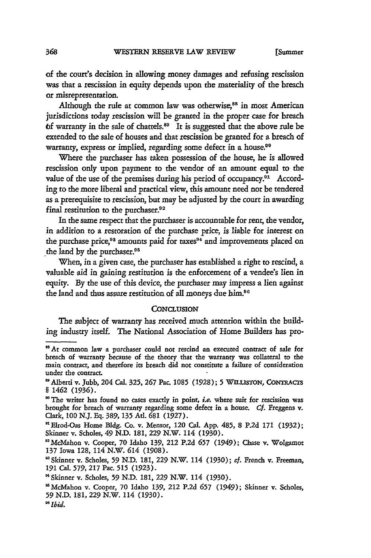of the court's decision in allowing money damages and refusing rescission was that a rescission in equity depends upon the materiality of the breach or misrepresentation.

Although the rule at common law was otherwise,<sup>88</sup> in most American jurisdictions today rescission will be granted in the proper case for breach **bf warranty in the sale of chattels.<sup>89</sup>** It is suggested that the above rule be extended to the sale of houses and that rescission be granted for a breach of warranty, express or implied, regarding some defect in a house.<sup>90</sup>

Where the purchaser has taken possession of the house, he is allowed rescission only upon payment to the vendor of an amount equal to the value of the use of the premises during his period of occupancy.<sup>91</sup> According to the more liberal and practical view, this amount need not be tendered as a prerequisite to rescission, but may be adjusted by the court in awarding final restitution to the purchaser.<sup>92</sup>

In the same respect that the purchaser is accountable for rent, the vendor, in addition to a restoration of the purchase price, is liable for interest on the purchase price,<sup>93</sup> amounts paid for taxes<sup>94</sup> and improvements placed on the land by the purchaser.95

When, in a given case, the purchaser has established a right to rescind, a valuable aid in gaining restitution is the enforcement of a vendee's lien in equity. By the use of this device, the purchaser may impress a lien against the land and thus assure restitution of all moneys due him.<sup>96</sup>

### **CONCLUSION**

The subject of warranty has received much attention within the building industry itself. The National Association of Home Builders has pro-

<sup>&</sup>lt;sup>85</sup> At common law a purchaser could not rescind an executed contract of sale for breach of warranty because of the theory that the warranty was collateral to the main contract, and therefore its breach did not constitute a failure of consideration under the contract.

<sup>&</sup>quot;Alberti v. Jubb, 204 Cal. 325, **267** Pac. 1085 (1928); **5** WILLISTON, **CONTRACTS** § 1462 (1936).

<sup>&</sup>lt;sup>80</sup> The writer has found no cases exactly in point, *i.e.* where suit for rescission was brought for breach of warranty regarding some defect in a house. *Cf.* Freggens v. Clark, 100 N.J. Eq. 389, **135** Ad. **681** (1927).

<sup>&</sup>quot;Blrod-Oas Home Bldg. Co. v. Mensor, 120 Cal. App. 485, 8 P.2d 171 (1932); Skinner v. Scholes, 49 N.D. 181, 229 N.W. 114 (1930).

<sup>&</sup>quot;McMahon v. Cooper, 70 Idaho 139, 212 P.2d **657** (1949); Chase v. Wolgamot 137 Iowa 128, 114 N.W. 614 (1908).

<sup>&</sup>quot; Skinner v. Scholes, **59** N.D. 181, **229** N.W. 114 **(1930);** cf. French v. Freeman, **191** Cal. 579, 217 Pac. **515** (1923).

**<sup>&</sup>quot;** Skinner v. Scholes, **59** N.D. 181, *229* N.W. 114 (1930).

<sup>&#</sup>x27;McMahon v. Cooper, **70** Idaho 139, 212 P.2d **657** (1949); Skinner v. Scholes, 59 N.D. 181, 229 N.W. 114 (1930).